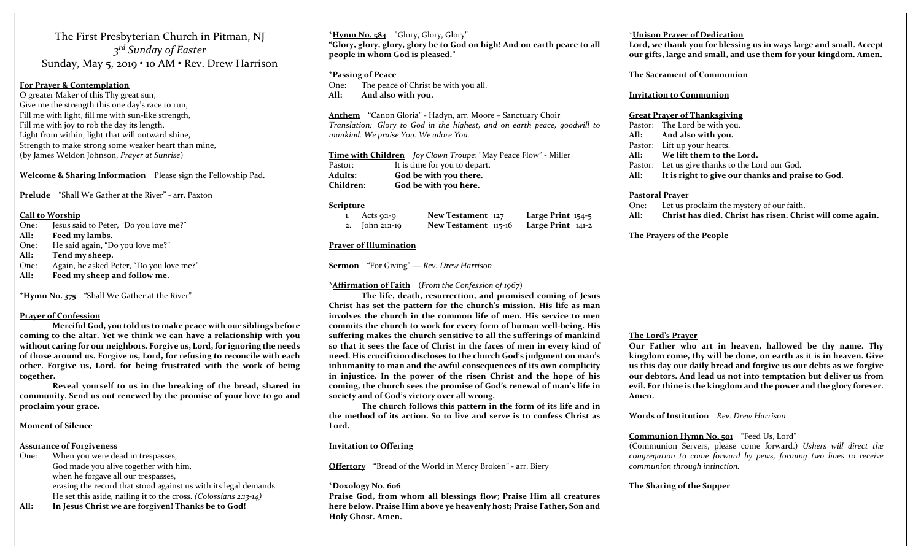The First Presbyterian Church in Pitman, NJ 3<sup>rd</sup> Sunday of Easter Sunday, May 5, 2019 • 10 AM • Rev. Drew Harrison

# For Prayer & Contemplation

O greater Maker of this Thy great sun, Give me the strength this one day's race to run, Fill me with light, fill me with sun-like strength, Fill me with joy to rob the day its length. Light from within, light that will outward shine, Strength to make strong some weaker heart than mine, (by James Weldon Johnson, Prayer at Sunrise)

Welcome & Sharing Information Please sign the Fellowship Pad.

Prelude "Shall We Gather at the River" - arr. Paxton

# Call to Worship

- One: Jesus said to Peter, "Do you love me?"
- All: Feed my lambs.
- One: He said again, "Do you love me?"
- All: Tend my sheep.
- One: Again, he asked Peter, "Do you love me?"
- All: Feed my sheep and follow me.

\*Hymn No. 375 "Shall We Gather at the River"

# Prayer of Confession

 Merciful God, you told us to make peace with our siblings before coming to the altar. Yet we think we can have a relationship with you without caring for our neighbors. Forgive us, Lord, for ignoring the needs of those around us. Forgive us, Lord, for refusing to reconcile with each other. Forgive us, Lord, for being frustrated with the work of being together.

 Reveal yourself to us in the breaking of the bread, shared in community. Send us out renewed by the promise of your love to go and proclaim your grace.

# Moment of Silence

### Assurance of Forgiveness

- One: When you were dead in trespasses, God made you alive together with him, when he forgave all our trespasses, erasing the record that stood against us with its legal demands. He set this aside, nailing it to the cross. (Colossians 2:13-14)
- All: In Jesus Christ we are forgiven! Thanks be to God!

 $*Hvmn$  No. 584 "Glory, Glory, Glory" "Glory, glory, glory, glory be to God on high! And on earth peace to all people in whom God is pleased."

#### \*Passing of Peace

One: The peace of Christ be with you all. All: And also with you.

Anthem "Canon Gloria" - Hadyn, arr. Moore – Sanctuary Choir Translation: Glory to God in the highest, and on earth peace, goodwill to mankind. We praise You. We adore You.

Time with Children Joy Clown Troupe: "May Peace Flow" - Miller Pastor: It is time for you to depart. Adults: God be with you there. Children: God be with you here.

#### **Scripture**

| Acts 9:1-9      | New Testament 127    | Large Print $154-5$ |
|-----------------|----------------------|---------------------|
| 2. John 21:1-19 | New Testament 115-16 | Large Print $141-2$ |

#### Prayer of Illumination

Sermon "For Giving" — Rev. Drew Harrison

#### \*Affirmation of Faith (From the Confession of  $1967$ )

 The life, death, resurrection, and promised coming of Jesus Christ has set the pattern for the church's mission. His life as man involves the church in the common life of men. His service to men commits the church to work for every form of human well-being. His suffering makes the church sensitive to all the sufferings of mankind so that it sees the face of Christ in the faces of men in every kind of need. His crucifixion discloses to the church God's judgment on man's inhumanity to man and the awful consequences of its own complicity in injustice. In the power of the risen Christ and the hope of his coming, the church sees the promise of God's renewal of man's life in society and of God's victory over all wrong.

 The church follows this pattern in the form of its life and in the method of its action. So to live and serve is to confess Christ as Lord.

# Invitation to Offering

Offertory "Bread of the World in Mercy Broken" - arr. Biery

#### \*Doxology No. 606

Praise God, from whom all blessings flow; Praise Him all creatures here below. Praise Him above ye heavenly host; Praise Father, Son and Holy Ghost. Amen.

# \*Unison Prayer of Dedication

Lord, we thank you for blessing us in ways large and small. Accept our gifts, large and small, and use them for your kingdom. Amen.

#### The Sacrament of Communion

#### Invitation to Communion

#### Great Prayer of Thanksgiving

Pastor: The Lord be with you. All: And also with you. Pastor: Lift up your hearts. All: We lift them to the Lord. Pastor: Let us give thanks to the Lord our God. All: It is right to give our thanks and praise to God.

#### Pastoral Prayer

- One: Let us proclaim the mystery of our faith.
- All: Christ has died. Christ has risen. Christ will come again.

# The Prayers of the People

# The Lord's Prayer

Our Father who art in heaven, hallowed be thy name. Thy kingdom come, thy will be done, on earth as it is in heaven. Give us this day our daily bread and forgive us our debts as we forgive our debtors. And lead us not into temptation but deliver us from evil. For thine is the kingdom and the power and the glory forever. Amen.

Words of Institution Rev. Drew Harrison

# Communion Hymn No. 501 "Feed Us, Lord"

(Communion Servers, please come forward.) Ushers will direct the congregation to come forward by pews, forming two lines to receive communion through intinction.

# The Sharing of the Supper